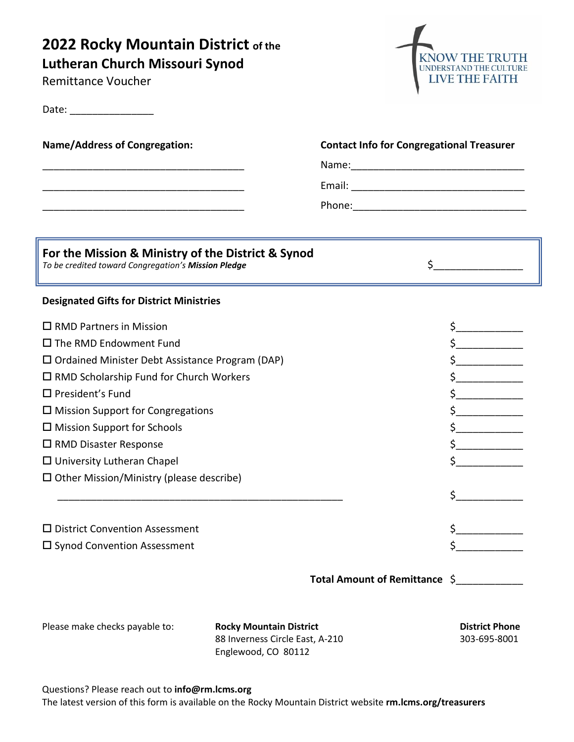# **2022 Rocky Mountain District of the**

**Lutheran Church Missouri Synod**

Remittance Voucher

Date: \_\_\_\_\_\_\_\_\_\_\_\_\_\_\_



| <b>Name/Address of Congregation:</b><br><u> 1989 - Johann Barbara, martxa alemaniar argumento de la contrada de la contrada de la contrada de la contrad</u> | <b>Contact Info for Congregational Treasurer</b><br>Name: 2008 2010 2021 2022 2023 2024 2022 2022 2023 2024 2022 2023 2024 2022 2023 2024 2022 2023 2024 2022 2023 |                                                                   |
|--------------------------------------------------------------------------------------------------------------------------------------------------------------|--------------------------------------------------------------------------------------------------------------------------------------------------------------------|-------------------------------------------------------------------|
|                                                                                                                                                              |                                                                                                                                                                    |                                                                   |
| For the Mission & Ministry of the District & Synod<br>To be credited toward Congregation's Mission Pledge                                                    |                                                                                                                                                                    | $\frac{1}{2}$                                                     |
| <b>Designated Gifts for District Ministries</b>                                                                                                              |                                                                                                                                                                    |                                                                   |
| $\Box$ RMD Partners in Mission                                                                                                                               |                                                                                                                                                                    |                                                                   |
| $\square$ The RMD Endowment Fund                                                                                                                             |                                                                                                                                                                    | $\mathsf{\dot{S}}_{\_\_\_\_\_\_\_\_\_\_\_\_\_\_\_\_\_\_\_\_\_\_}$ |
| $\square$ Ordained Minister Debt Assistance Program (DAP)                                                                                                    |                                                                                                                                                                    | $\frac{1}{2}$                                                     |
| $\Box$ RMD Scholarship Fund for Church Workers                                                                                                               |                                                                                                                                                                    |                                                                   |
| $\square$ President's Fund                                                                                                                                   |                                                                                                                                                                    |                                                                   |
| $\square$ Mission Support for Congregations                                                                                                                  |                                                                                                                                                                    |                                                                   |
| $\square$ Mission Support for Schools                                                                                                                        |                                                                                                                                                                    |                                                                   |
| $\square$ RMD Disaster Response                                                                                                                              |                                                                                                                                                                    | $\frac{1}{2}$                                                     |
| $\Box$ University Lutheran Chapel                                                                                                                            |                                                                                                                                                                    | $\zeta$                                                           |
| $\Box$ Other Mission/Ministry (please describe)                                                                                                              |                                                                                                                                                                    |                                                                   |
|                                                                                                                                                              |                                                                                                                                                                    | $\zeta$                                                           |
| $\square$ District Convention Assessment                                                                                                                     |                                                                                                                                                                    |                                                                   |
| $\square$ Synod Convention Assessment                                                                                                                        |                                                                                                                                                                    |                                                                   |
|                                                                                                                                                              |                                                                                                                                                                    |                                                                   |
|                                                                                                                                                              | Total Amount of Remittance \$                                                                                                                                      |                                                                   |
| Please make checks payable to:                                                                                                                               | <b>Rocky Mountain District</b><br>88 Inverness Circle East, A-210<br>Englewood, CO 80112                                                                           | <b>District Phone</b><br>303-695-8001                             |

Questions? Please reach out to **info@rm.lcms.org**

The latest version of this form is available on the Rocky Mountain District website **rm.lcms.org/treasurers**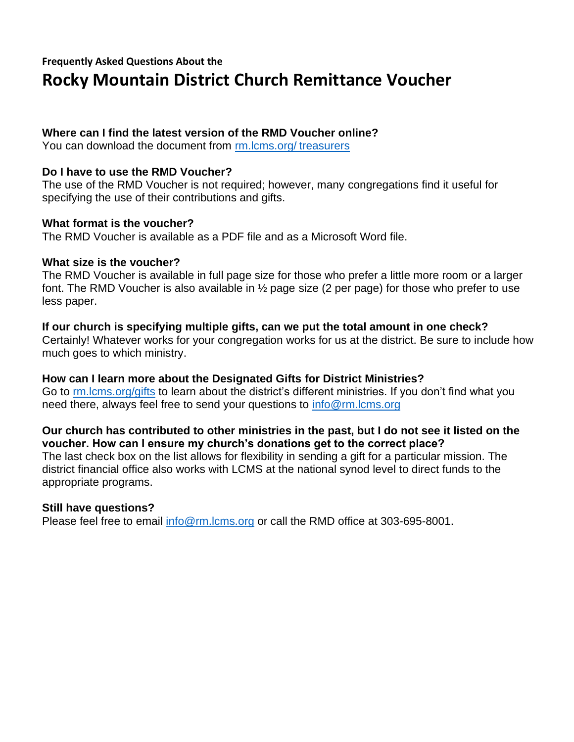### **Frequently Asked Questions About the Rocky Mountain District Church Remittance Voucher**

#### **Where can I find the latest version of the RMD Voucher online?**

You can download the document from [rm.lcms.org/](https://rm.lcms.org/treasurers/) treasurers

#### **Do I have to use the RMD Voucher?**

The use of the RMD Voucher is not required; however, many congregations find it useful for specifying the use of their contributions and gifts.

#### **What format is the voucher?**

The RMD Voucher is available as a PDF file and as a Microsoft Word file.

#### **What size is the voucher?**

The RMD Voucher is available in full page size for those who prefer a little more room or a larger font. The RMD Voucher is also available in ½ page size (2 per page) for those who prefer to use less paper.

### **If our church is specifying multiple gifts, can we put the total amount in one check?**

Certainly! Whatever works for your congregation works for us at the district. Be sure to include how much goes to which ministry.

**How can I learn more about the Designated Gifts for District Ministries?** Go to [rm.lcms.org/gifts](https://rm.lcms.org/gifts/) to learn about the district's different ministries. If you don't find what you need there, always feel free to send your questions to [info@rm.lcms.org](mailto:info@rm.lcms.org?subject=Question%20about%20Designated%20Gifts)

#### **Our church has contributed to other ministries in the past, but I do not see it listed on the voucher. How can I ensure my church's donations get to the correct place?**

The last check box on the list allows for flexibility in sending a gift for a particular mission. The district financial office also works with LCMS at the national synod level to direct funds to the appropriate programs.

#### **Still have questions?**

Please feel free to email [info@rm.lcms.org](mailto:info@rm.lcms.org?subject=RMD%20Remittance%20Voucher%20Question) or call the RMD office at 303-695-8001.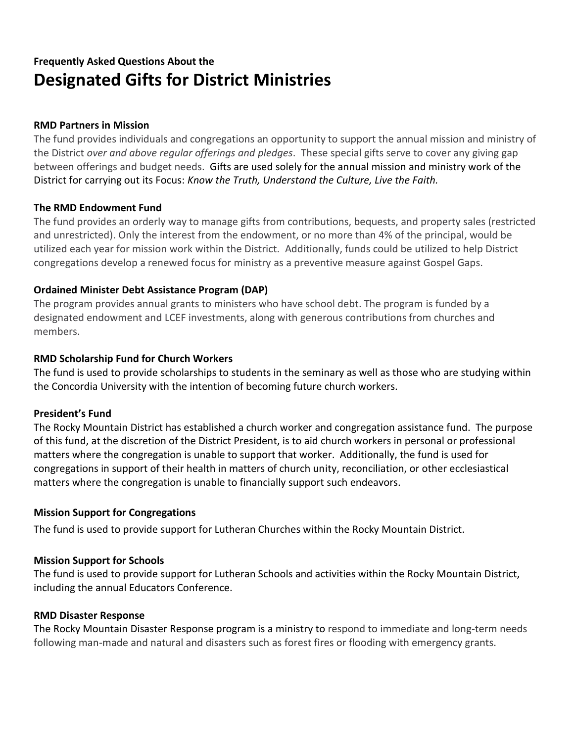## **Frequently Asked Questions About the Designated Gifts for District Ministries**

#### **RMD Partners in Mission**

The fund provides individuals and congregations an opportunity to support the annual mission and ministry of the District *over and above regular offerings and pledges*. These special gifts serve to cover any giving gap between offerings and budget needs. Gifts are used solely for the annual mission and ministry work of the District for carrying out its Focus: *Know the Truth, Understand the Culture, Live the Faith.*

#### **The RMD Endowment Fund**

The fund provides an orderly way to manage gifts from contributions, bequests, and property sales (restricted and unrestricted). Only the interest from the endowment, or no more than 4% of the principal, would be utilized each year for mission work within the District. Additionally, funds could be utilized to help District congregations develop a renewed focus for ministry as a preventive measure against Gospel Gaps.

#### **Ordained Minister Debt Assistance Program (DAP)**

The program provides annual grants to ministers who have school debt. The program is funded by a designated endowment and LCEF investments, along with generous contributions from churches and members.

#### **RMD Scholarship Fund for Church Workers**

The fund is used to provide scholarships to students in the seminary as well as those who are studying within the Concordia University with the intention of becoming future church workers.

#### **President's Fund**

The Rocky Mountain District has established a church worker and congregation assistance fund. The purpose of this fund, at the discretion of the District President, is to aid church workers in personal or professional matters where the congregation is unable to support that worker. Additionally, the fund is used for congregations in support of their health in matters of church unity, reconciliation, or other ecclesiastical matters where the congregation is unable to financially support such endeavors.

#### **Mission Support for Congregations**

The fund is used to provide support for Lutheran Churches within the Rocky Mountain District.

#### **Mission Support for Schools**

The fund is used to provide support for Lutheran Schools and activities within the Rocky Mountain District, including the annual Educators Conference.

#### **RMD Disaster Response**

The Rocky Mountain Disaster Response program is a ministry to respond to immediate and long-term needs following man-made and natural and disasters such as forest fires or flooding with emergency grants.